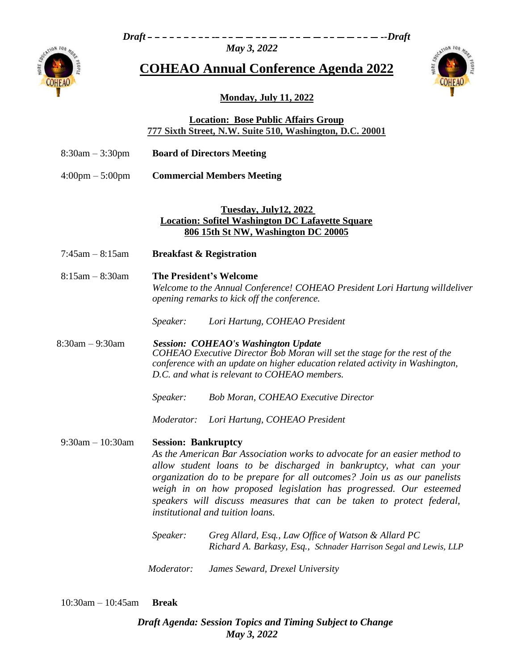*Draft -Draft*

*May 3, 2022*



**COHEAO Annual Conference Agenda 2022**



# **Monday, July 11, 2022**

## **Location: Bose Public Affairs Group 777 Sixth Street, N.W. Suite 510, Washington, D.C. 20001**

| $8:30$ am $-3:30$ pm | <b>Board of Directors Meeting</b> |
|----------------------|-----------------------------------|
|----------------------|-----------------------------------|

4:00pm – 5:00pm **Commercial Members Meeting**

### **Tuesday, July12, 2022 Location: Sofitel Washington DC Lafayette Square 806 15th St NW, Washington DC 20005**

- 7:45am 8:15am **Breakfast & Registration**
- 8:15am 8:30am **The President's Welcome** *Welcome to the Annual Conference! COHEAO President Lori Hartung willdeliver opening remarks to kick off the conference.*
	- *Speaker: Lori Hartung, COHEAO President*

8:30am – 9:30am *Session: COHEAO's Washington Update COHEAO Executive Director Bob Moran will set the stage for the rest of the conference with an update on higher education related activity in Washington, D.C. and what is relevant to COHEAO members.*

*Speaker: Bob Moran, COHEAO Executive Director*

*Moderator: Lori Hartung, COHEAO President*

### 9:30am – 10:30am **Session: Bankruptcy**

*As the American Bar Association works to advocate for an easier method to allow student loans to be discharged in bankruptcy, what can your organization do to be prepare for all outcomes? Join us as our panelists weigh in on how proposed legislation has progressed. Our esteemed speakers will discuss measures that can be taken to protect federal, institutional and tuition loans.*

| Speaker: | Greg Allard, Esq., Law Office of Watson & Allard PC              |
|----------|------------------------------------------------------------------|
|          | Richard A. Barkasy, Esq., Schnader Harrison Segal and Lewis, LLP |
|          |                                                                  |

*Moderator: James Seward, Drexel University*

10:30am – 10:45am **Break**

*Draft Agenda: Session Topics and Timing Subject to Change May 3, 2022*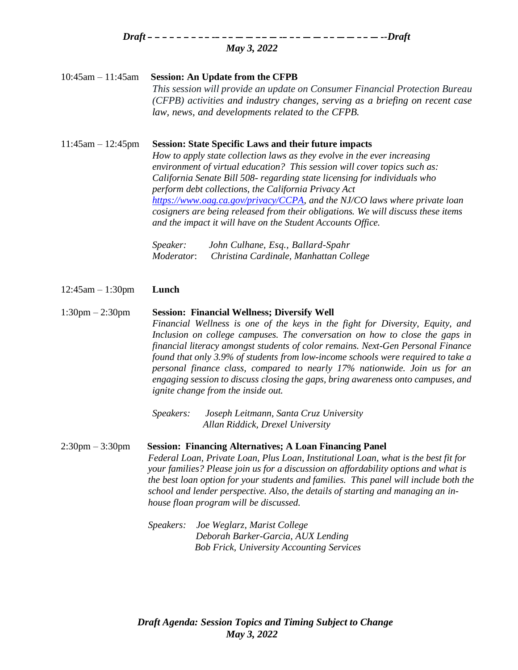*Draft -Draft May 3, 2022*

### 10:45am – 11:45am **Session: An Update from the CFPB**

*This session will provide an update on Consumer Financial Protection Bureau (CFPB) activities and industry changes, serving as a briefing on recent case law, news, and developments related to the CFPB.*

11:45am – 12:45pm **Session: State Specific Laws and their future impacts**

*How to apply state collection laws as they evolve in the ever increasing environment of virtual education? This session will cover topics such as: California Senate Bill 508- regarding state licensing for individuals who perform debt collections, the California Privacy Act [https://www.oag.ca.gov/privacy/CCPA,](https://www.oag.ca.gov/privacy/CCPA) and the NJ/CO laws where private loan cosigners are being released from their obligations. We will discuss these items and the impact it will have on the Student Accounts Office.*

*Speaker: John Culhane, Esq., Ballard-Spahr Moderator*: *Christina Cardinale, Manhattan College*

12:45am – 1:30pm **Lunch**

#### 1:30pm – 2:30pm **Session: Financial Wellness; Diversify Well**

*Financial Wellness is one of the keys in the fight for Diversity, Equity, and Inclusion on college campuses. The conversation on how to close the gaps in financial literacy amongst students of color remains. Next-Gen Personal Finance found that only 3.9% of students from low-income schools were required to take a personal finance class, compared to nearly 17% nationwide. Join us for an engaging session to discuss closing the gaps, bring awareness onto campuses, and ignite change from the inside out.*

*Speakers: Joseph Leitmann, Santa Cruz University Allan Riddick, Drexel University*

### 2:30pm – 3:30pm **Session: Financing Alternatives; A Loan Financing Panel**

*Federal Loan, Private Loan, Plus Loan, Institutional Loan, what is the best fit for your families? Please join us for a discussion on affordability options and what is the best loan option for your students and families. This panel will include both the school and lender perspective. Also, the details of starting and managing an inhouse floan program will be discussed.*

*Speakers: Joe Weglarz, Marist College Deborah Barker-Garcia, AUX Lending Bob Frick, University Accounting Services*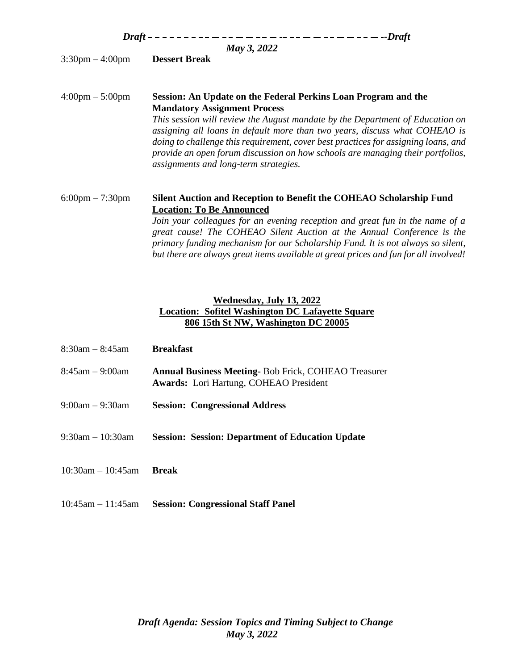| May 3, 2022                       |                                                                                                                                                                                                                                                                                                                                                                              |  |
|-----------------------------------|------------------------------------------------------------------------------------------------------------------------------------------------------------------------------------------------------------------------------------------------------------------------------------------------------------------------------------------------------------------------------|--|
| $3:30 \text{pm} - 4:00 \text{pm}$ | <b>Dessert Break</b>                                                                                                                                                                                                                                                                                                                                                         |  |
| 4:00pm – 5:00pm                   | Session: An Update on the Federal Perkins Loan Program and the<br><b>Mandatory Assignment Process</b>                                                                                                                                                                                                                                                                        |  |
|                                   | This session will review the August mandate by the Department of Education on<br>assigning all loans in default more than two years, discuss what COHEAO is<br>doing to challenge this requirement, cover best practices for assigning loans, and<br>provide an open forum discussion on how schools are managing their portfolios,<br>assignments and long-term strategies. |  |
| $6:00 \text{pm} - 7:30 \text{pm}$ | Silent Auction and Reception to Benefit the COHEAO Scholarship Fund<br><b>Location: To Be Announced</b>                                                                                                                                                                                                                                                                      |  |
|                                   | Join your colleagues for an evening reception and great fun in the name of a<br>great cause! The COHEAO Silent Auction at the Annual Conference is the<br>primary funding mechanism for our Scholarship Fund. It is not always so silent,<br>but there are always great items available at great prices and fun for all involved!                                            |  |

## **Wednesday, July 13, 2022 Location: Sofitel Washington DC Lafayette Square 806 15th St NW, Washington DC 20005**

| $8:30$ am $-8:45$ am    | <b>Breakfast</b>                                                                                            |
|-------------------------|-------------------------------------------------------------------------------------------------------------|
| 8:45am – 9:00am         | <b>Annual Business Meeting-Bob Frick, COHEAO Treasurer</b><br><b>Awards:</b> Lori Hartung, COHEAO President |
| 9:00am – 9:30am         | <b>Session: Congressional Address</b>                                                                       |
| $9:30$ am $-10:30$ am   | <b>Session: Session: Department of Education Update</b>                                                     |
| $10:30$ am $- 10:45$ am | <b>Break</b>                                                                                                |
|                         |                                                                                                             |

10:45am – 11:45am **Session: Congressional Staff Panel**